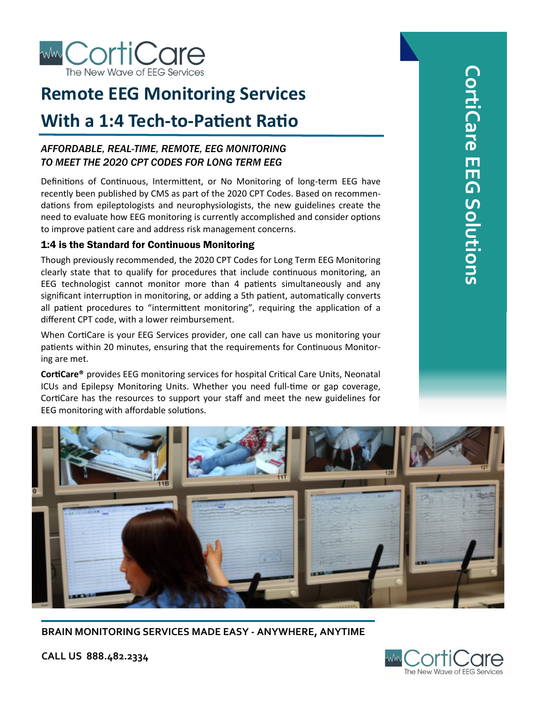

# **Remote EEG Monitoring Services**

## **With a 1:4 Tech-to-Patient Ratio**

### *AFFORDABLE, REAL-TIME, REMOTE, EEG MONITORING TO MEET THE 2020 CPT CODES FOR LONG TERM EEG*

Definitions of Continuous, Intermittent, or No Monitoring of long-term EEG have recently been published by CMS as part of the 2020 CPT Codes. Based on recommendations from epileptologists and neurophysiologists, the new guidelines create the need to evaluate how EEG monitoring is currently accomplished and consider options to improve patient care and address risk management concerns.

### 1:4 is the Standard for Continuous Monitoring

Though previously recommended, the 2020 CPT Codes for Long Term EEG Monitoring clearly state that to qualify for procedures that include continuous monitoring, an EEG technologist cannot monitor more than 4 patients simultaneously and any significant interruption in monitoring, or adding a 5th patient, automatically converts all patient procedures to "intermittent monitoring", requiring the application of a different CPT code, with a lower reimbursement.

When CortiCare is your EEG Services provider, one call can have us monitoring your patients within 20 minutes, ensuring that the requirements for Continuous Monitoring are met.

**CortiCare®** provides EEG monitoring services for hospital Critical Care Units, Neonatal ICUs and Epilepsy Monitoring Units. Whether you need full-time or gap coverage, CortiCare has the resources to support your staff and meet the new guidelines for EEG monitoring with affordable solutions.



**BRAIN MONITORING SERVICES MADE EASY - ANYWHERE, ANYTIME**



**CALL US 888.482.2334**